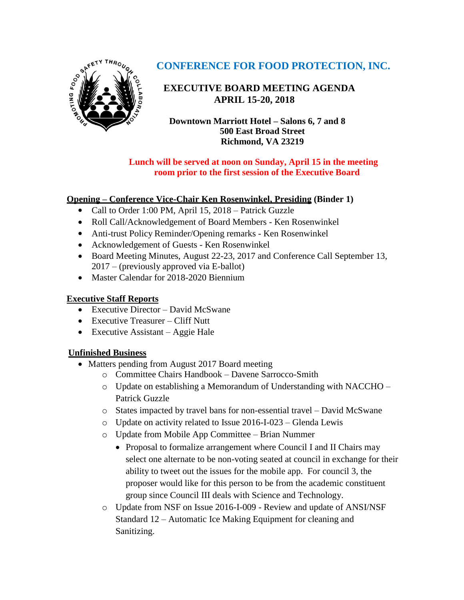

# **CONFERENCE FOR FOOD PROTECTION, INC.**

## **EXECUTIVE BOARD MEETING AGENDA** **APRIL 15-20, 2018**

**Downtown Marriott Hotel – Salons 6, 7 and 8 500 East Broad Street Richmond, VA 23219**

### **Lunch will be served at noon on Sunday, April 15 in the meeting room prior to the first session of the Executive Board**

### **Opening – Conference Vice-Chair Ken Rosenwinkel, Presiding (Binder 1)**

- Call to Order 1:00 PM, April 15, 2018 Patrick Guzzle
- Roll Call/Acknowledgement of Board Members Ken Rosenwinkel
- Anti-trust Policy Reminder/Opening remarks Ken Rosenwinkel
- Acknowledgement of Guests Ken Rosenwinkel
- Board Meeting Minutes, August 22-23, 2017 and Conference Call September 13, 2017 – (previously approved via E-ballot)
- Master Calendar for 2018-2020 Biennium

### **Executive Staff Reports**

- Executive Director David McSwane
- Executive Treasurer Cliff Nutt
- Executive Assistant Aggie Hale

## **Unfinished Business**

- Matters pending from August 2017 Board meeting
	- o Committee Chairs Handbook Davene Sarrocco-Smith
	- o Update on establishing a Memorandum of Understanding with NACCHO Patrick Guzzle
	- o States impacted by travel bans for non-essential travel David McSwane
	- o Update on activity related to Issue 2016-I-023 Glenda Lewis
	- o Update from Mobile App Committee Brian Nummer
		- Proposal to formalize arrangement where Council I and II Chairs may select one alternate to be non-voting seated at council in exchange for their ability to tweet out the issues for the mobile app. For council 3, the proposer would like for this person to be from the academic constituent group since Council III deals with Science and Technology.
	- o Update from NSF on Issue 2016-I-009 Review and update of ANSI/NSF Standard 12 – Automatic Ice Making Equipment for cleaning and Sanitizing.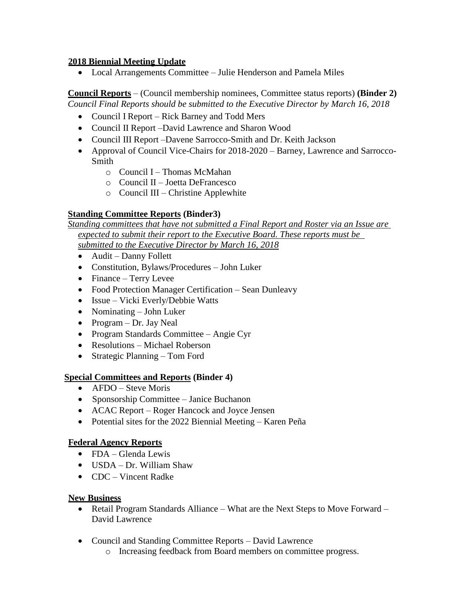#### **2018 Biennial Meeting Update**

Local Arrangements Committee – Julie Henderson and Pamela Miles

**Council Reports** – (Council membership nominees, Committee status reports) **(Binder 2)** *Council Final Reports should be submitted to the Executive Director by March 16, 2018*

- Council I Report Rick Barney and Todd Mers
- Council II Report –David Lawrence and Sharon Wood
- Council III Report –Davene Sarrocco-Smith and Dr. Keith Jackson
- Approval of Council Vice-Chairs for 2018-2020 Barney, Lawrence and Sarrocco-Smith
	- o Council I Thomas McMahan
	- o Council II Joetta DeFrancesco
	- o Council III Christine Applewhite

#### **Standing Committee Reports (Binder3)**

*Standing committees that have not submitted a Final Report and Roster via an Issue are expected to submit their report to the Executive Board. These reports must be submitted to the Executive Director by March 16, 2018*

- Audit Danny Follett
- Constitution, Bylaws/Procedures John Luker
- Finance Terry Levee
- Food Protection Manager Certification Sean Dunleavy
- Issue Vicki Everly/Debbie Watts
- Nominating John Luker
- Program Dr. Jay Neal
- Program Standards Committee Angie Cyr
- Resolutions Michael Roberson
- Strategic Planning Tom Ford

#### **Special Committees and Reports (Binder 4)**

- AFDO Steve Moris
- Sponsorship Committee Janice Buchanon
- ACAC Report Roger Hancock and Joyce Jensen
- Potential sites for the 2022 Biennial Meeting Karen Peña

#### **Federal Agency Reports**

- FDA Glenda Lewis
- USDA Dr. William Shaw
- CDC Vincent Radke

#### **New Business**

- Retail Program Standards Alliance What are the Next Steps to Move Forward David Lawrence
- Council and Standing Committee Reports David Lawrence
	- o Increasing feedback from Board members on committee progress.